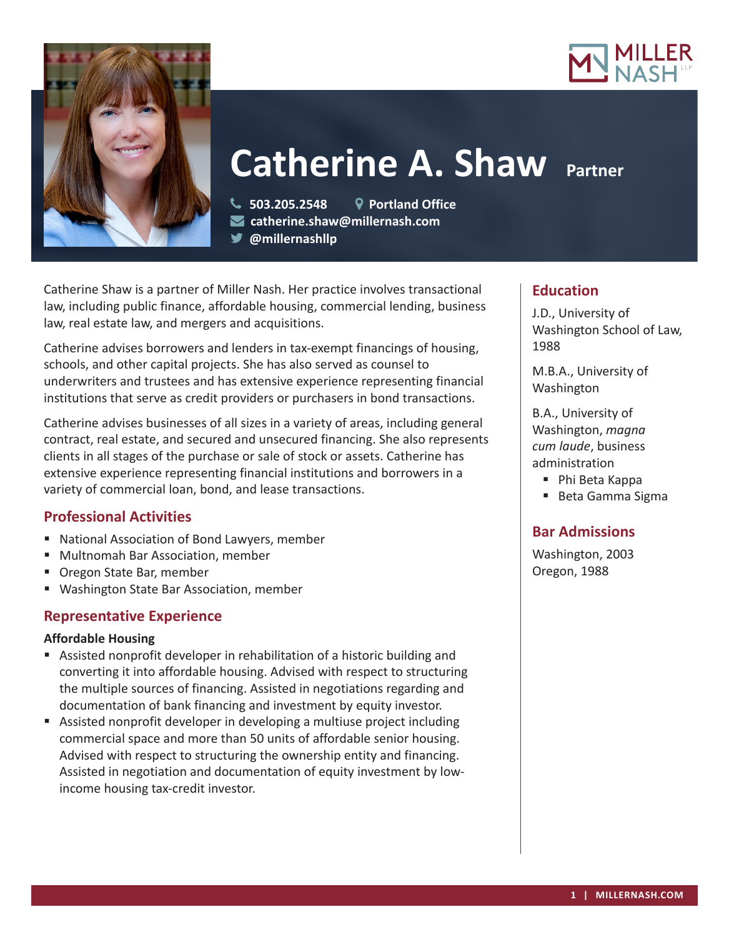



# **Catherine A. Shaw Partner**

 **503.205.2548 Portland Office catherine.shaw@millernash.com** 

**@millernashllp** 

Catherine Shaw is a partner of Miller Nash. Her practice involves transactional law, including public finance, affordable housing, commercial lending, business law, real estate law, and mergers and acquisitions.

Catherine advises borrowers and lenders in tax-exempt financings of housing, schools, and other capital projects. She has also served as counsel to underwriters and trustees and has extensive experience representing financial institutions that serve as credit providers or purchasers in bond transactions.

Catherine advises businesses of all sizes in a variety of areas, including general contract, real estate, and secured and unsecured financing. She also represents clients in all stages of the purchase or sale of stock or assets. Catherine has extensive experience representing financial institutions and borrowers in a variety of commercial loan, bond, and lease transactions.

# **Professional Activities**

- National Association of Bond Lawyers, member
- Multnomah Bar Association, member
- Oregon State Bar, member
- Washington State Bar Association, member

# **Representative Experience**

# **Affordable Housing**

- Assisted nonprofit developer in rehabilitation of a historic building and converting it into affordable housing. Advised with respect to structuring the multiple sources of financing. Assisted in negotiations regarding and documentation of bank financing and investment by equity investor.
- Assisted nonprofit developer in developing a multiuse project including commercial space and more than 50 units of affordable senior housing. Advised with respect to structuring the ownership entity and financing. Assisted in negotiation and documentation of equity investment by lowincome housing tax-credit investor.

# **Education**

J.D., University of Washington School of Law, 1988

M.B.A., University of Washington

B.A., University of Washington, *magna cum laude*, business administration

■ Phi Beta Kappa

■ Beta Gamma Sigma

# **Bar Admissions**

Washington, 2003 Oregon, 1988